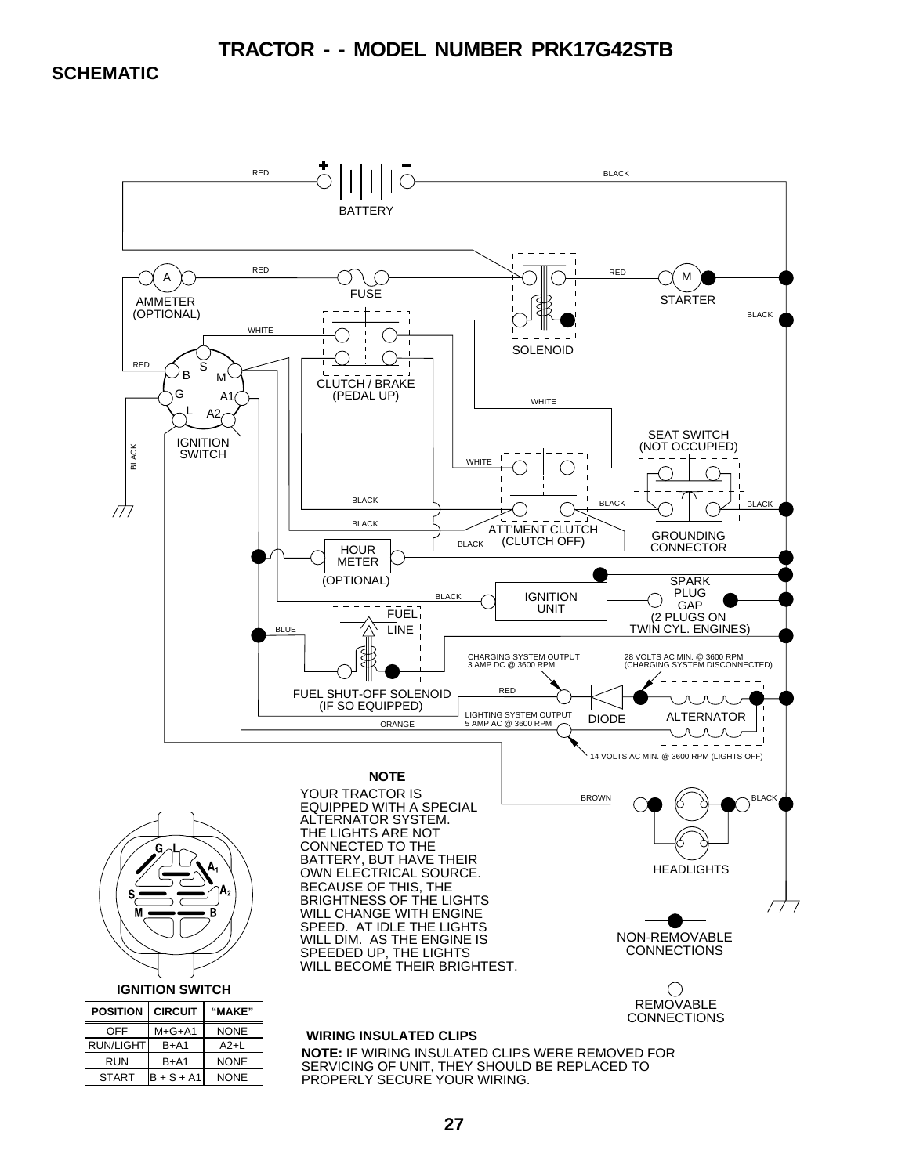#### **TRACTOR - - MODEL NUMBER PRK17G42STB**

#### **SCHEMATIC**

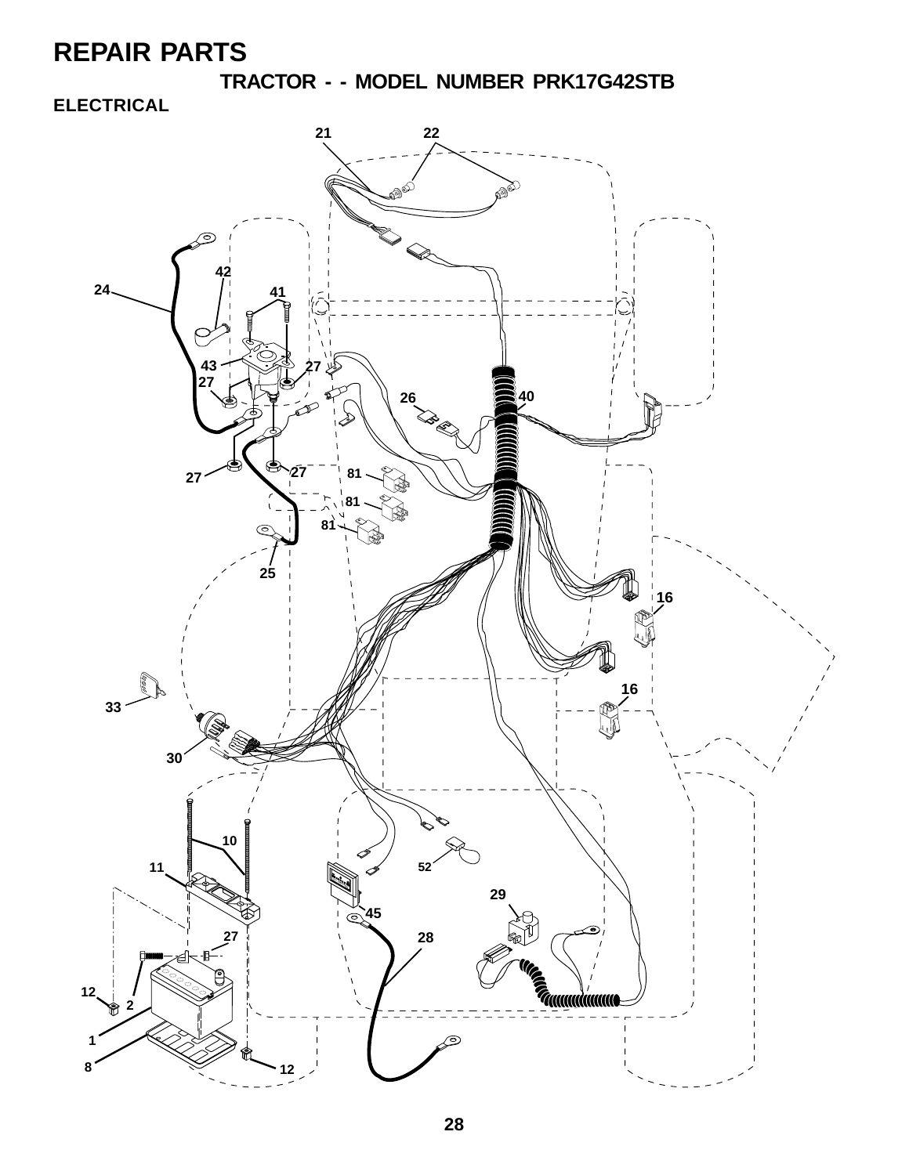**TRACTOR - - MODEL NUMBER PRK17G42STB**

### **ELECTRICAL**

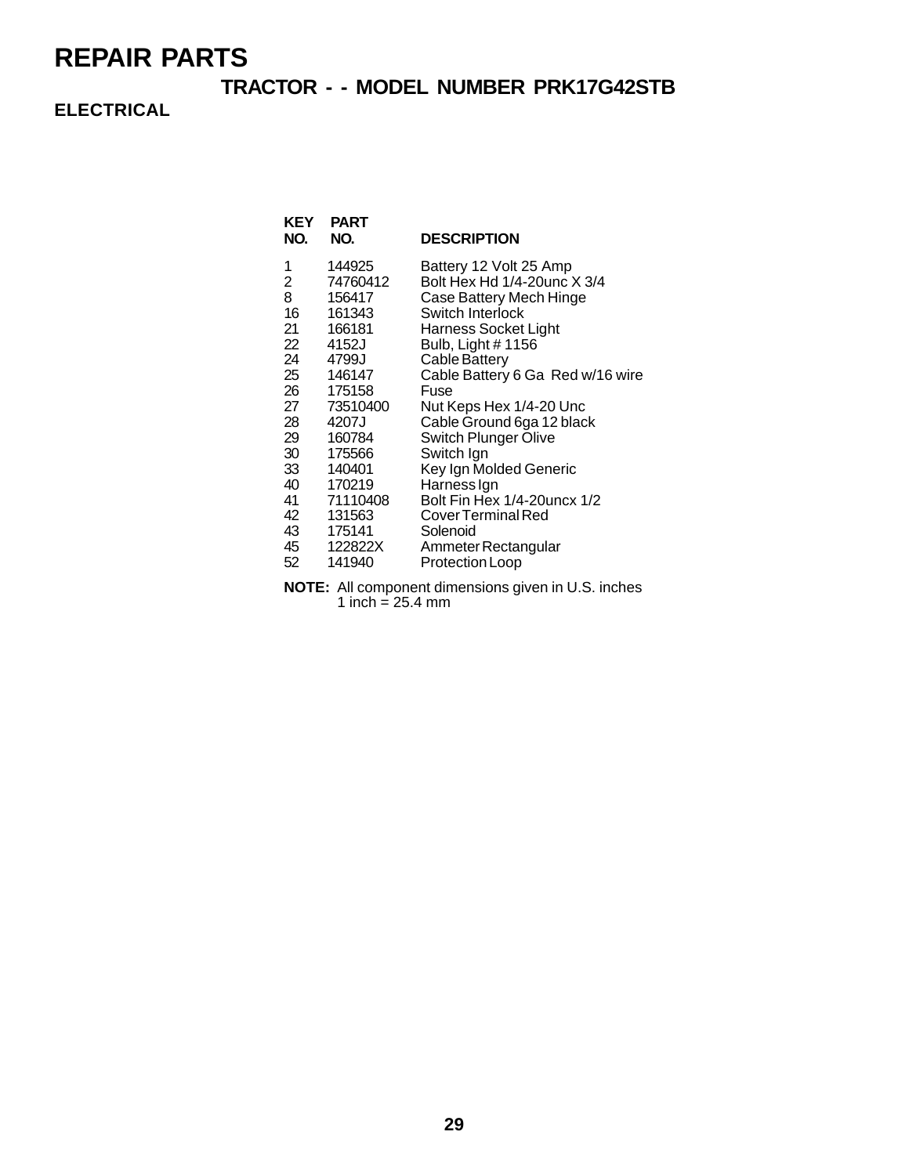### **TRACTOR - - MODEL NUMBER PRK17G42STB**

**ELECTRICAL**

| KEY<br>NO. | <b>PART</b><br>NO. | <b>DESCRIPTION</b>               |
|------------|--------------------|----------------------------------|
| 1          | 144925             | Battery 12 Volt 25 Amp           |
| 2          | 74760412           | Bolt Hex Hd 1/4-20unc X 3/4      |
| 8          | 156417             | Case Battery Mech Hinge          |
| 16         | 161343             | Switch Interlock                 |
| 21         | 166181             | Harness Socket Light             |
| 22         | 4152J              | Bulb, Light #1156                |
| 24         | 4799J              | Cable Battery                    |
| 25         | 146147             | Cable Battery 6 Ga Red w/16 wire |
| 26         | 175158             | Fuse                             |
| 27         | 73510400           | Nut Keps Hex 1/4-20 Unc          |
| 28         | 4207J              | Cable Ground 6ga 12 black        |
| 29         | 160784             | <b>Switch Plunger Olive</b>      |
| 30         | 175566             | Switch Ign                       |
| 33         | 140401             | Key Ign Molded Generic           |
| 40         | 170219             | Harness Ign                      |
| 41         | 71110408           | Bolt Fin Hex 1/4-20 uncx 1/2     |
| 42         | 131563             | Cover Terminal Red               |
| 43         | 175141             | Solenoid                         |
| 45         | 122822X            | Ammeter Rectangular              |
| 52         | 141940             | Protection Loop                  |

**NOTE:** All component dimensions given in U.S. inches 1 inch =  $25.4 \text{ mm}$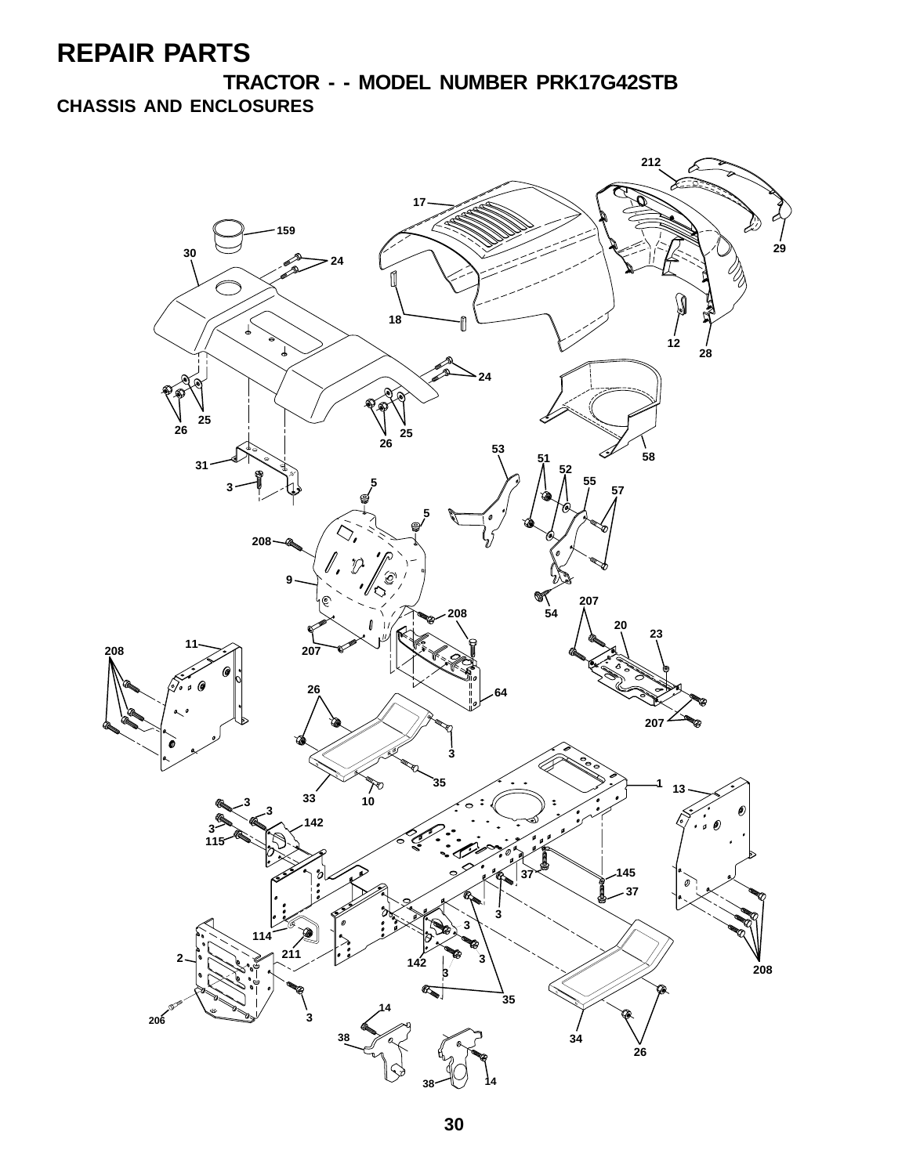**TRACTOR - - MODEL NUMBER PRK17G42STB CHASSIS AND ENCLOSURES**

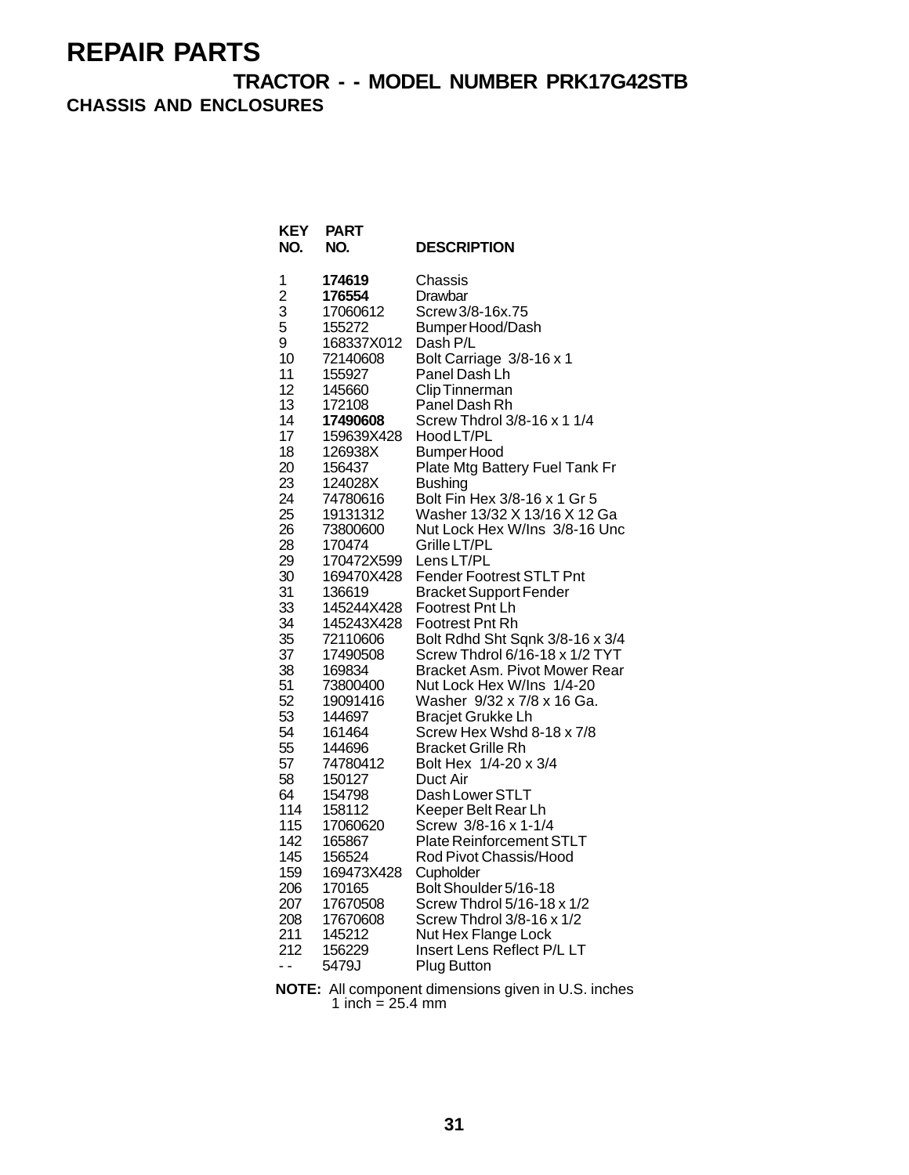**TRACTOR - - MODEL NUMBER PRK17G42STB CHASSIS AND ENCLOSURES**

| KEY<br>NO.               | <b>PART</b><br>NO.   | <b>DESCRIPTION</b>                                                |
|--------------------------|----------------------|-------------------------------------------------------------------|
| 1                        | 174619               | Chassis                                                           |
| $\overline{c}$           | 176554               | Drawbar                                                           |
| 3                        | 17060612             | Screw 3/8-16x.75                                                  |
| 5                        | 155272               | Bumper Hood/Dash                                                  |
| 9                        | 168337X012           | Dash P/L                                                          |
| 10                       | 72140608             | Bolt Carriage 3/8-16 x 1                                          |
| 11                       | 155927               | Panel Dash Lh                                                     |
| 12<br>13                 | 145660<br>172108     | Clip Tinnerman                                                    |
| 14                       | 17490608             | Panel Dash Rh<br>Screw Thdrol 3/8-16 x 1 1/4                      |
| 17                       | 159639X428           | Hood LT/PL                                                        |
| 18                       | 126938X              | Bumper Hood                                                       |
| 20                       | 156437               | Plate Mtg Battery Fuel Tank Fr                                    |
| 23                       | 124028X              | <b>Bushing</b>                                                    |
| 24                       | 74780616             | Bolt Fin Hex 3/8-16 x 1 Gr 5                                      |
| 25                       | 19131312             | Washer 13/32 X 13/16 X 12 Ga                                      |
| 26                       | 73800600             | Nut Lock Hex W/Ins 3/8-16 Unc                                     |
| 28                       | 170474               | Grille LT/PL                                                      |
| 29                       | 170472X599           | Lens LT/PL                                                        |
| 30                       | 169470X428           | Fender Footrest STLT Pnt                                          |
| 31                       | 136619               | <b>Bracket Support Fender</b>                                     |
| 33                       | 145244X428           | Footrest Pnt Lh                                                   |
| 34                       | 145243X428           | Footrest Pnt Rh                                                   |
| 35<br>37                 | 72110606<br>17490508 | Bolt Rdhd Sht Sqnk 3/8-16 x 3/4<br>Screw Thdrol 6/16-18 x 1/2 TYT |
| 38                       | 169834               | <b>Bracket Asm. Pivot Mower Rear</b>                              |
| 51                       | 73800400             | Nut Lock Hex W/Ins 1/4-20                                         |
| 52                       | 19091416             | Washer 9/32 x 7/8 x 16 Ga.                                        |
| 53                       | 144697               | <b>Bracjet Grukke Lh</b>                                          |
| 54                       | 161464               | Screw Hex Wshd 8-18 x 7/8                                         |
| 55                       | 144696               | <b>Bracket Grille Rh</b>                                          |
| 57                       | 74780412             | Bolt Hex 1/4-20 x 3/4                                             |
| 58                       | 150127               | Duct Air                                                          |
| 64                       | 154798               | Dash Lower STLT                                                   |
| 114                      | 158112               | Keeper Belt Rear Lh                                               |
| 115                      | 17060620             | Screw 3/8-16 x 1-1/4                                              |
| 142                      | 165867               | Plate Reinforcement STLT                                          |
| 145                      | 156524               | Rod Pivot Chassis/Hood                                            |
| 159                      | 169473X428           | Cupholder<br>Bolt Shoulder 5/16-18                                |
| 206<br>207               | 170165<br>17670508   | Screw Thdrol 5/16-18 x 1/2                                        |
| 208                      | 17670608             | Screw Thdrol 3/8-16 x 1/2                                         |
| 211                      | 145212               | Nut Hex Flange Lock                                               |
| 212                      | 156229               | Insert Lens Reflect P/L LT                                        |
| $\overline{\phantom{a}}$ | 5479J                | <b>Plug Button</b>                                                |

**NOTE:** All component dimensions given in U.S. inches 1 inch  $= 25.4$  mm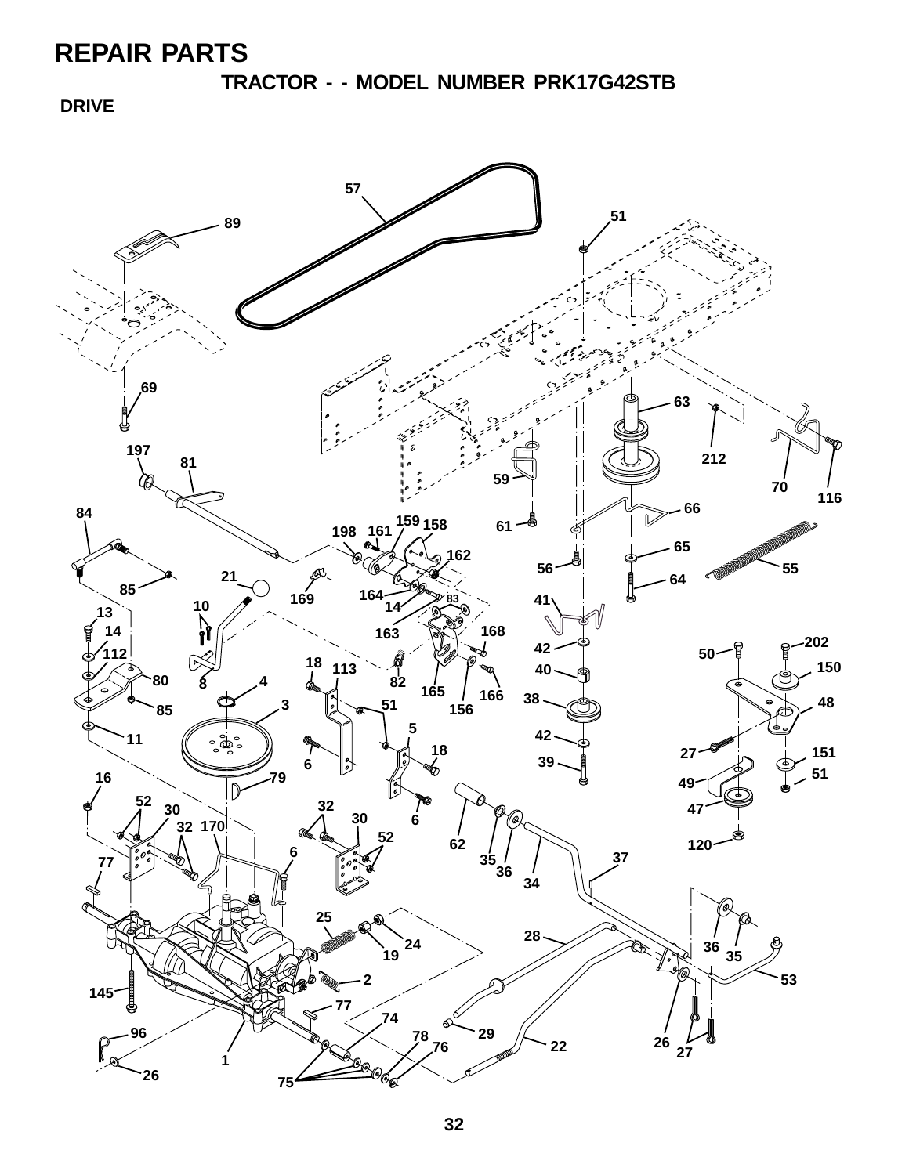**TRACTOR - - MODEL NUMBER PRK17G42STB**

 **DRIVE**

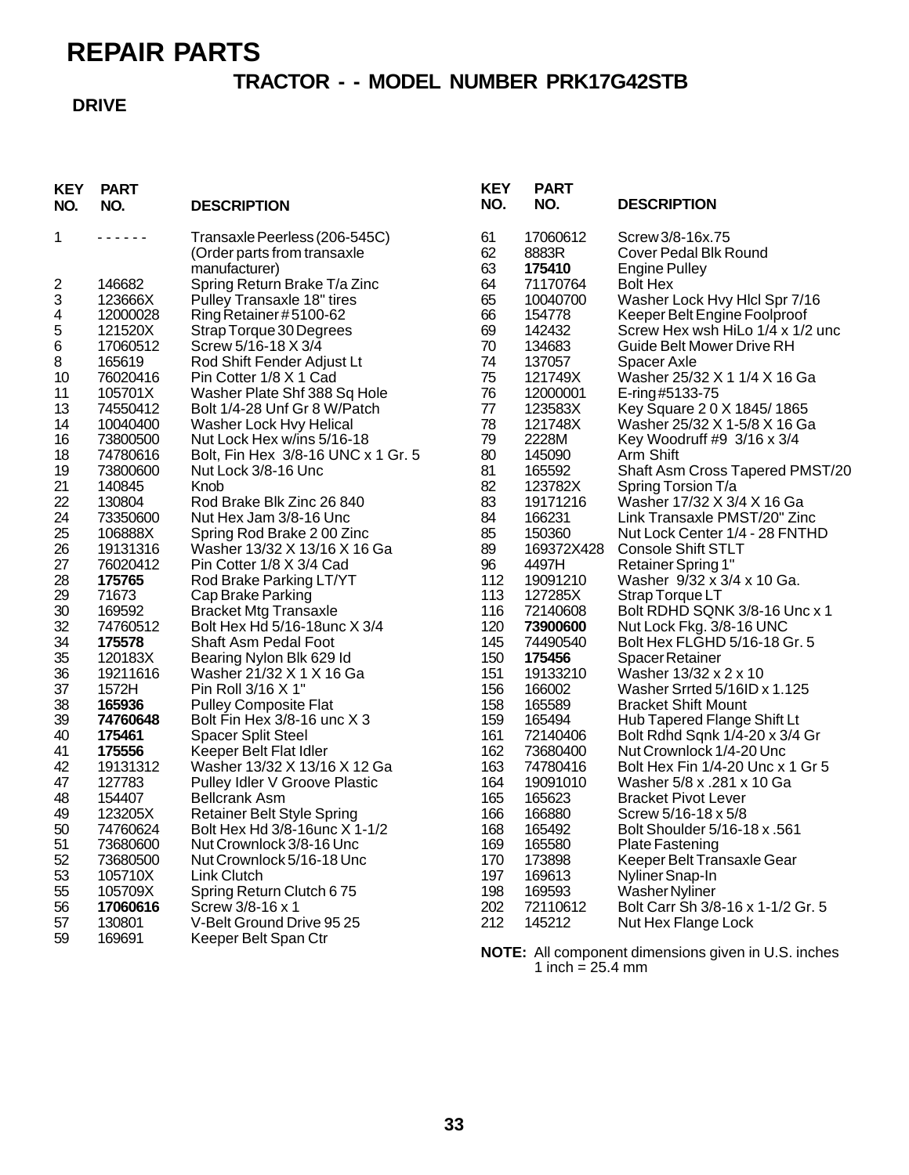### **TRACTOR - - MODEL NUMBER PRK17G42STB**

#### **DRIVE**

| <b>KEY</b><br>NO. | <b>PART</b><br>NO.                                                                                                                                                              | <b>DESCRIPTION</b>                                                  | <b>KEY</b><br>NO. | <b>PART</b><br>NO.   | <b>DESCRIPTION</b>                                          |
|-------------------|---------------------------------------------------------------------------------------------------------------------------------------------------------------------------------|---------------------------------------------------------------------|-------------------|----------------------|-------------------------------------------------------------|
| 1                 | $\frac{1}{2} \left( \frac{1}{2} \right) \left( \frac{1}{2} \right) \left( \frac{1}{2} \right) \left( \frac{1}{2} \right) \left( \frac{1}{2} \right) \left( \frac{1}{2} \right)$ | Transaxle Peerless (206-545C)                                       | 61                | 17060612             | Screw 3/8-16x.75                                            |
|                   |                                                                                                                                                                                 | (Order parts from transaxle                                         | 62<br>63          | 8883R<br>175410      | <b>Cover Pedal Blk Round</b>                                |
| 2                 | 146682                                                                                                                                                                          | manufacturer)<br>Spring Return Brake T/a Zinc                       | 64                | 71170764             | <b>Engine Pulley</b><br><b>Bolt Hex</b>                     |
| 3                 | 123666X                                                                                                                                                                         | Pulley Transaxle 18" tires                                          | 65                | 10040700             | Washer Lock Hvy Hlcl Spr 7/16                               |
| 4                 | 12000028                                                                                                                                                                        | Ring Retainer#5100-62                                               | 66                | 154778               | Keeper Belt Engine Foolproof                                |
| 5                 | 121520X                                                                                                                                                                         | Strap Torque 30 Degrees                                             | 69                | 142432               | Screw Hex wsh HiLo 1/4 x 1/2 unc                            |
| 6                 | 17060512                                                                                                                                                                        | Screw 5/16-18 X 3/4                                                 | 70                | 134683               | Guide Belt Mower Drive RH                                   |
| 8                 | 165619                                                                                                                                                                          | Rod Shift Fender Adjust Lt                                          | 74                | 137057               | Spacer Axle                                                 |
| 10                | 76020416                                                                                                                                                                        | Pin Cotter 1/8 X 1 Cad                                              | 75                | 121749X              | Washer 25/32 X 1 1/4 X 16 Ga                                |
| 11                | 105701X                                                                                                                                                                         | Washer Plate Shf 388 Sq Hole                                        | 76                | 12000001             | E-ring#5133-75                                              |
| 13                | 74550412                                                                                                                                                                        | Bolt 1/4-28 Unf Gr 8 W/Patch                                        | 77                | 123583X              | Key Square 20 X 1845/1865                                   |
| 14                | 10040400                                                                                                                                                                        | Washer Lock Hvy Helical                                             | 78                | 121748X              | Washer 25/32 X 1-5/8 X 16 Ga                                |
| 16                | 73800500                                                                                                                                                                        | Nut Lock Hex w/ins 5/16-18                                          | 79                | 2228M                | Key Woodruff #9 3/16 x 3/4                                  |
| 18                | 74780616                                                                                                                                                                        | Bolt, Fin Hex 3/8-16 UNC x 1 Gr. 5                                  | 80                | 145090               | Arm Shift                                                   |
| 19                | 73800600                                                                                                                                                                        | Nut Lock 3/8-16 Unc                                                 | 81                | 165592               | Shaft Asm Cross Tapered PMST/20                             |
| 21                | 140845                                                                                                                                                                          | Knob                                                                | 82                | 123782X              | Spring Torsion T/a                                          |
| 22                | 130804                                                                                                                                                                          | Rod Brake Blk Zinc 26 840                                           | 83                | 19171216             | Washer 17/32 X 3/4 X 16 Ga                                  |
| 24<br>25          | 73350600                                                                                                                                                                        | Nut Hex Jam 3/8-16 Unc                                              | 84<br>85          | 166231               | Link Transaxle PMST/20" Zinc                                |
| 26                | 106888X<br>19131316                                                                                                                                                             | Spring Rod Brake 200 Zinc<br>Washer 13/32 X 13/16 X 16 Ga           | 89                | 150360<br>169372X428 | Nut Lock Center 1/4 - 28 FNTHD<br><b>Console Shift STLT</b> |
| 27                | 76020412                                                                                                                                                                        | Pin Cotter 1/8 X 3/4 Cad                                            | 96                | 4497H                | Retainer Spring 1"                                          |
| 28                | 175765                                                                                                                                                                          | Rod Brake Parking LT/YT                                             | 112               | 19091210             | Washer 9/32 x 3/4 x 10 Ga.                                  |
| 29                | 71673                                                                                                                                                                           | Cap Brake Parking                                                   | 113               | 127285X              | Strap Torque LT                                             |
| 30                | 169592                                                                                                                                                                          | <b>Bracket Mtg Transaxle</b>                                        | 116               | 72140608             | Bolt RDHD SQNK 3/8-16 Unc x 1                               |
| 32                | 74760512                                                                                                                                                                        | Bolt Hex Hd 5/16-18unc X 3/4                                        | 120               | 73900600             | Nut Lock Fkg. 3/8-16 UNC                                    |
| 34                | 175578                                                                                                                                                                          | Shaft Asm Pedal Foot                                                | 145               | 74490540             | Bolt Hex FLGHD 5/16-18 Gr. 5                                |
| 35                | 120183X                                                                                                                                                                         | Bearing Nylon Blk 629 Id                                            | 150               | 175456               | Spacer Retainer                                             |
| 36                | 19211616                                                                                                                                                                        | Washer 21/32 X 1 X 16 Ga                                            | 151               | 19133210             | Washer 13/32 x 2 x 10                                       |
| $37\,$            | 1572H                                                                                                                                                                           | Pin Roll 3/16 X 1"                                                  | 156               | 166002               | Washer Srrted 5/16ID x 1.125                                |
| 38                | 165936                                                                                                                                                                          | <b>Pulley Composite Flat</b>                                        | 158               | 165589               | <b>Bracket Shift Mount</b>                                  |
| 39                | 74760648                                                                                                                                                                        | Bolt Fin Hex 3/8-16 unc X 3                                         | 159               | 165494               | Hub Tapered Flange Shift Lt                                 |
| 40                | 175461                                                                                                                                                                          | <b>Spacer Split Steel</b>                                           | 161               | 72140406             | Bolt Rdhd Sqnk 1/4-20 x 3/4 Gr                              |
| 41                | 175556                                                                                                                                                                          | Keeper Belt Flat Idler                                              | 162               | 73680400             | Nut Crownlock 1/4-20 Unc                                    |
| 42                | 19131312                                                                                                                                                                        | Washer 13/32 X 13/16 X 12 Ga                                        | 163               | 74780416             | Bolt Hex Fin 1/4-20 Unc x 1 Gr 5                            |
| 47                | 127783                                                                                                                                                                          | Pulley Idler V Groove Plastic                                       | 164               | 19091010             | Washer 5/8 x .281 x 10 Ga                                   |
| 48                | 154407                                                                                                                                                                          | <b>Bellcrank Asm</b>                                                | 165               | 165623<br>166880     | <b>Bracket Pivot Lever</b>                                  |
| 49<br>50          | 123205X<br>74760624                                                                                                                                                             | <b>Retainer Belt Style Spring</b><br>Bolt Hex Hd 3/8-16 unc X 1-1/2 | 166<br>168        | 165492               | Screw 5/16-18 x 5/8<br>Bolt Shoulder 5/16-18 x .561         |
| 51                | 73680600                                                                                                                                                                        | Nut Crownlock 3/8-16 Unc                                            | 169               | 165580               | <b>Plate Fastening</b>                                      |
| 52                | 73680500                                                                                                                                                                        | Nut Crownlock 5/16-18 Unc                                           | 170               | 173898               | Keeper Belt Transaxle Gear                                  |
| 53                | 105710X                                                                                                                                                                         | Link Clutch                                                         | 197               | 169613               | Nyliner Snap-In                                             |
| 55                | 105709X                                                                                                                                                                         | Spring Return Clutch 675                                            | 198               | 169593               | Washer Nyliner                                              |
| 56                | 17060616                                                                                                                                                                        | Screw 3/8-16 x 1                                                    | 202               | 72110612             | Bolt Carr Sh 3/8-16 x 1-1/2 Gr. 5                           |
| 57                | 130801                                                                                                                                                                          | V-Belt Ground Drive 95 25                                           | 212               | 145212               | Nut Hex Flange Lock                                         |
| 59                | 169691                                                                                                                                                                          | Keeper Belt Span Ctr                                                |                   |                      |                                                             |
|                   |                                                                                                                                                                                 |                                                                     |                   |                      | NOTE: All component dimensions given in U.S. inches         |

1 inch =  $25.4 \text{ mm}$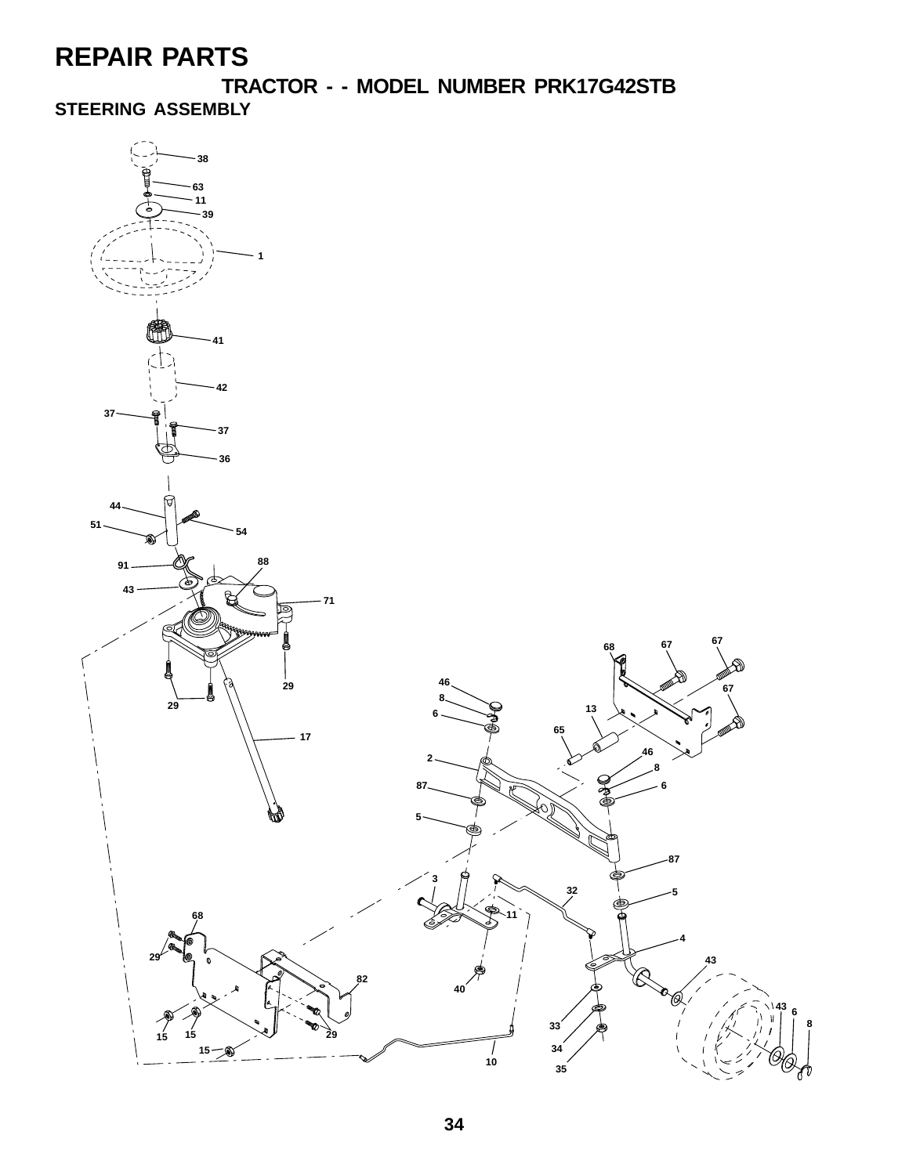**TRACTOR - - MODEL NUMBER PRK17G42STB**

**STEERING ASSEMBLY**

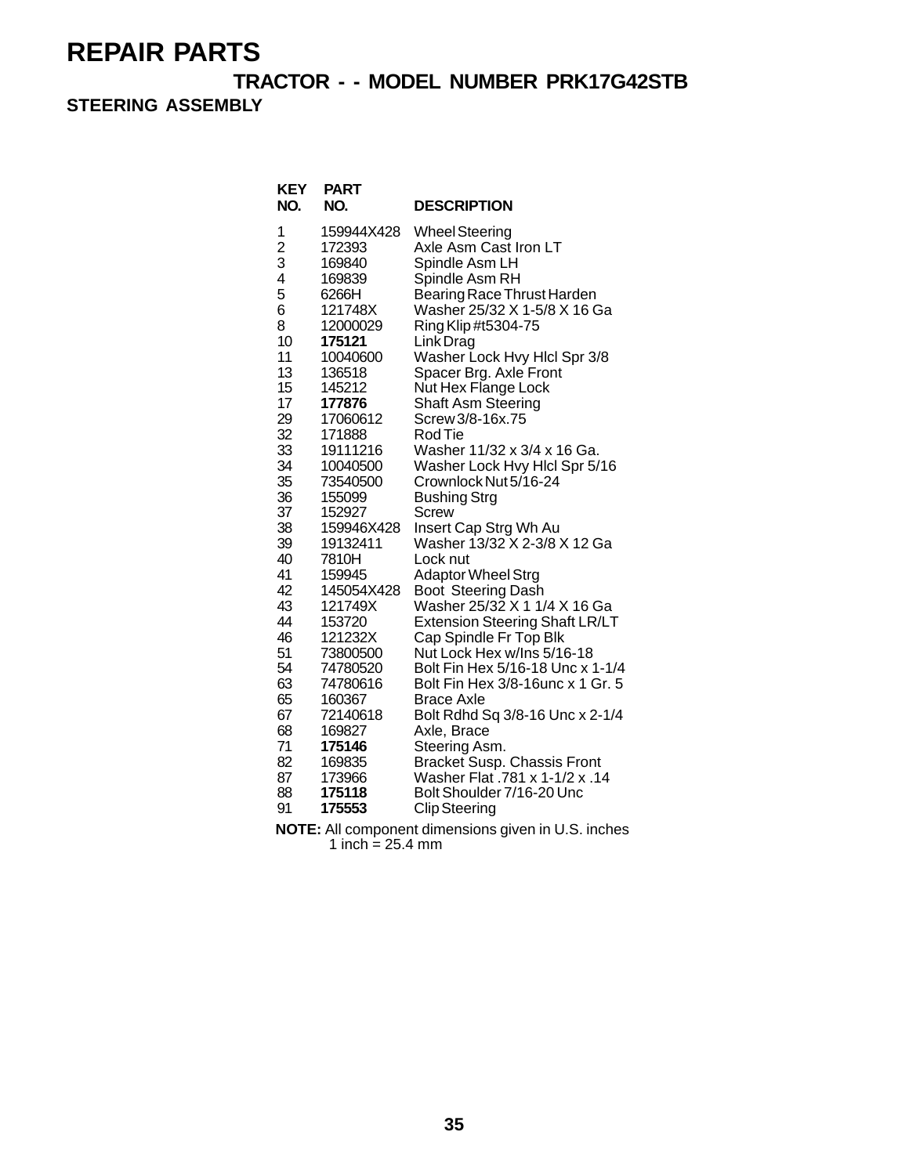**TRACTOR - - MODEL NUMBER PRK17G42STB**

**STEERING ASSEMBLY**

| <b>KEY</b><br>NO. | <b>PART</b><br>NO. | <b>DESCRIPTION</b>                    |
|-------------------|--------------------|---------------------------------------|
| 1                 | 159944X428         | <b>Wheel Steering</b>                 |
| $\overline{c}$    | 172393             | Axle Asm Cast Iron LT                 |
| 3                 | 169840             | Spindle Asm LH                        |
| 4                 | 169839             | Spindle Asm RH                        |
| 5                 | 6266H              | Bearing Race Thrust Harden            |
| 6                 | 121748X            | Washer 25/32 X 1-5/8 X 16 Ga          |
| 8                 | 12000029           | Ring Klip #t5304-75                   |
| 10                | 175121             | Link Drag                             |
| 11                | 10040600           | Washer Lock Hvy Hicl Spr 3/8          |
| 13                | 136518             | Spacer Brg. Axle Front                |
| 15                | 145212             | Nut Hex Flange Lock                   |
| 17                | 177876             | Shaft Asm Steering                    |
| 29                | 17060612           | Screw 3/8-16x.75                      |
| 32                | 171888             | Rod Tie                               |
| 33                | 19111216           | Washer 11/32 x 3/4 x 16 Ga.           |
| 34                | 10040500           | Washer Lock Hvy Hicl Spr 5/16         |
| 35                | 73540500           | Crownlock Nut 5/16-24                 |
| 36<br>37          | 155099<br>152927   | Bushing Strg                          |
| 38                | 159946X428         | Screw<br>Insert Cap Strg Wh Au        |
| 39                | 19132411           | Washer 13/32 X 2-3/8 X 12 Ga          |
| 40                | 7810H              | Lock nut                              |
| 41                | 159945             | <b>Adaptor Wheel Strg</b>             |
| 42                | 145054X428         | <b>Boot Steering Dash</b>             |
| 43                | 121749X            | Washer 25/32 X 1 1/4 X 16 Ga          |
| 44                | 153720             | <b>Extension Steering Shaft LR/LT</b> |
| 46                | 121232X            | Cap Spindle Fr Top Blk                |
| 51                | 73800500           | Nut Lock Hex w/Ins 5/16-18            |
| 54                | 74780520           | Bolt Fin Hex 5/16-18 Unc x 1-1/4      |
| 63                | 74780616           | Bolt Fin Hex 3/8-16unc x 1 Gr. 5      |
| 65                | 160367             | <b>Brace Axle</b>                     |
| 67                | 72140618           | Bolt Rdhd Sq 3/8-16 Unc x 2-1/4       |
| 68                | 169827             | Axle, Brace                           |
| 71                | 175146             | Steering Asm.                         |
| 82                | 169835             | <b>Bracket Susp. Chassis Front</b>    |
| 87                | 173966             | Washer Flat .781 x 1-1/2 x .14        |
| 88                | 175118             | Bolt Shoulder 7/16-20 Unc             |
| 91                | 175553             | <b>Clip Steering</b>                  |

**NOTE:** All component dimensions given in U.S. inches 1 inch =  $25.4 \text{ mm}$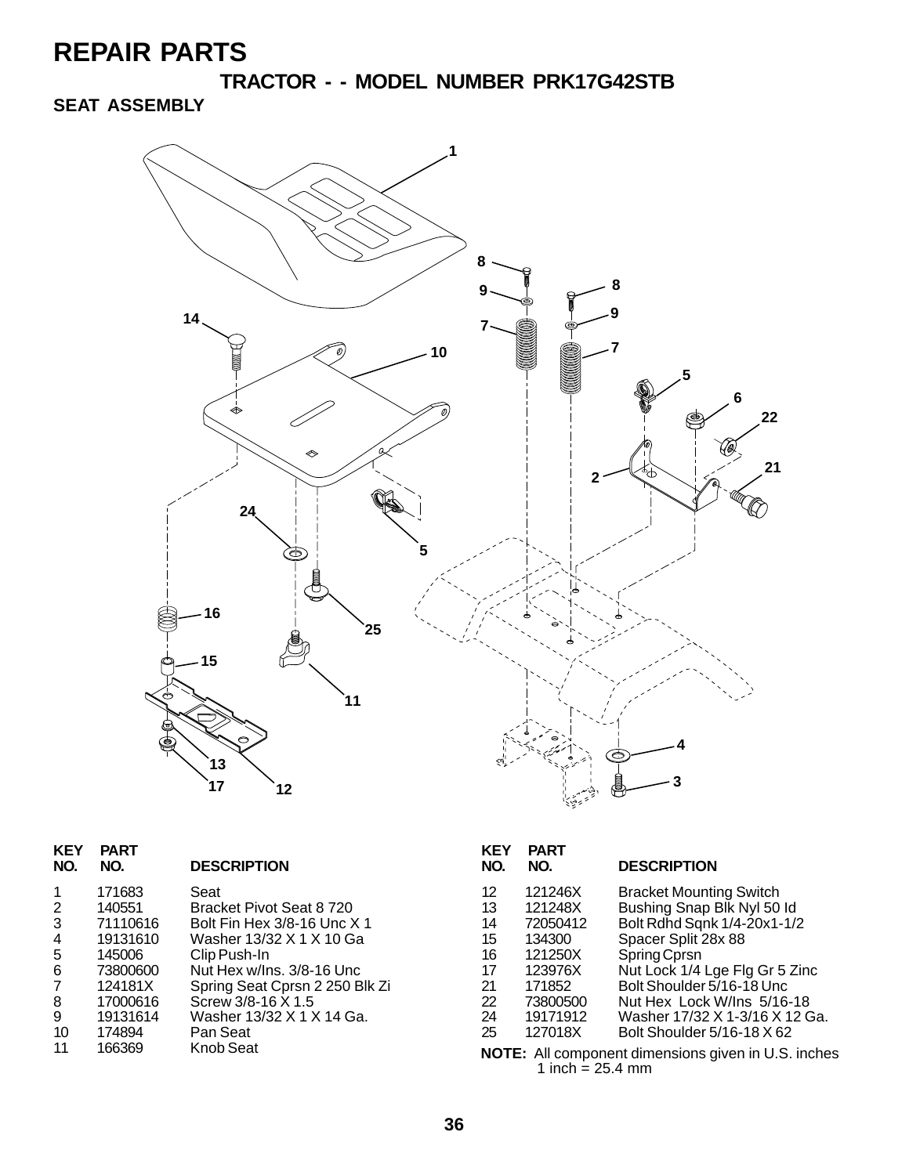**TRACTOR - - MODEL NUMBER PRK17G42STB**

### **SEAT ASSEMBLY**



| <b>KEY</b><br>NO. | <b>PART</b><br>NO. | <b>DESCRIPTION</b>             | <b>KEY</b><br>NO. | <b>PART</b><br>NO. | <b>DESCRIPTION</b>                                         |
|-------------------|--------------------|--------------------------------|-------------------|--------------------|------------------------------------------------------------|
| $\overline{1}$    | 171683             | Seat                           | 12                | 121246X            | <b>Bracket Mounting Switch</b>                             |
| 2                 | 140551             | Bracket Pivot Seat 8 720       | 13                | 121248X            | Bushing Snap Blk Nyl 50 ld                                 |
| 3                 | 71110616           | Bolt Fin Hex 3/8-16 Unc X 1    | 14                | 72050412           | Bolt Rdhd Sqnk 1/4-20x1-1/2                                |
| 4                 | 19131610           | Washer 13/32 X 1 X 10 Ga       | 15                | 134300             | Spacer Split 28x 88                                        |
| 5                 | 145006             | Clip Push-In                   | 16                | 121250X            | Spring Cprsn                                               |
| 6                 | 73800600           | Nut Hex w/Ins. 3/8-16 Unc      | 17                | 123976X            | Nut Lock 1/4 Lge Flg Gr 5 Zinc                             |
| 7                 | 124181X            | Spring Seat Cprsn 2 250 Blk Zi | 21                | 171852             | Bolt Shoulder 5/16-18 Unc                                  |
| 8                 | 17000616           | Screw 3/8-16 X 1.5             | 22                | 73800500           | Nut Hex Lock W/Ins 5/16-18                                 |
| 9                 | 19131614           | Washer 13/32 X 1 X 14 Ga.      | 24                | 19171912           | Washer 17/32 X 1-3/16 X 12 Ga.                             |
| 10                | 174894             | Pan Seat                       | 25                | 127018X            | Bolt Shoulder 5/16-18 X 62                                 |
| 11                | 166369             | Knob Seat                      |                   | 1 inch = $25.4$ mm | <b>NOTE:</b> All component dimensions given in U.S. inches |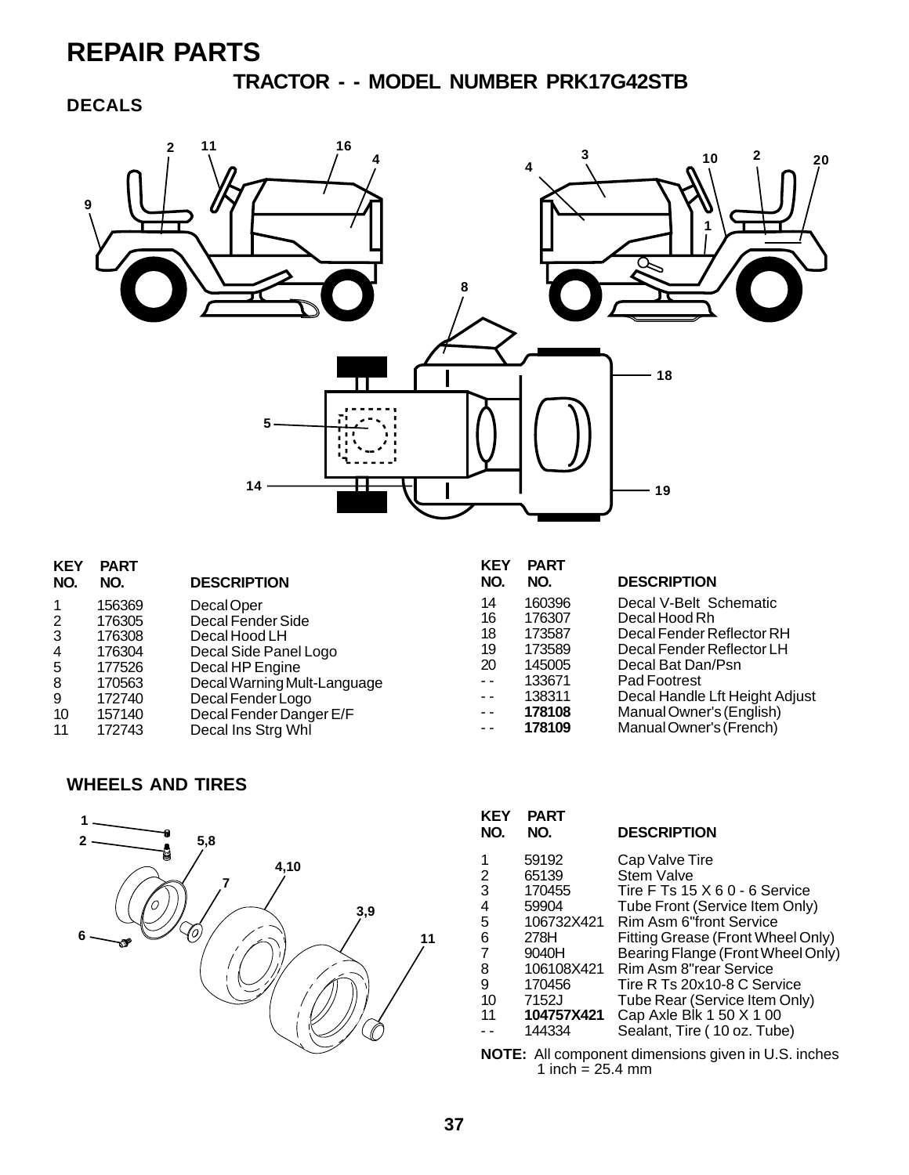**TRACTOR - - MODEL NUMBER PRK17G42STB**

### **DECALS**



| <b>KEY</b>     | <b>PART</b> |                             | <b>KEY</b> | <b>PART</b> |                                |
|----------------|-------------|-----------------------------|------------|-------------|--------------------------------|
| NO.            | NO.         | <b>DESCRIPTION</b>          | <b>NO</b>  | NO.         | <b>DESCRIPTION</b>             |
|                | 156369      | Decal Oper                  | 14         | 160396      | Decal V-Belt Schematic         |
| $\overline{2}$ | 176305      | Decal Fender Side           | 16         | 176307      | Decal Hood Rh                  |
| 3              | 176308      | Decal Hood LH               | 18         | 173587      | Decal Fender Reflector RH      |
| 4              | 176304      | Decal Side Panel Logo       | 19         | 173589      | Decal Fender Reflector LH      |
| 5              | 177526      | Decal HP Engine             | 20         | 145005      | Decal Bat Dan/Psn              |
| 8              | 170563      | Decal Warning Mult-Language | $ -$       | 133671      | Pad Footrest                   |
| 9              | 172740      | Decal Fender Logo           | $ -$       | 138311      | Decal Handle Lft Height Adjust |
| 10             | 157140      | Decal Fender Danger E/F     | $ -$       | 178108      | Manual Owner's (English)       |
| 11             | 172743      | Decal Ins Strg Whl          | $ -$       | 178109      | Manual Owner's (French)        |

#### **WHEELS AND TIRES**



| <b>KEY</b><br>NO. | PART<br>NO. | <b>DESCRIPTION</b>                   |
|-------------------|-------------|--------------------------------------|
| 1                 | 59192       | Cap Valve Tire                       |
| 2                 | 65139       | <b>Stem Valve</b>                    |
| 3                 | 170455      | Tire F Ts $15 \times 60 - 6$ Service |
| 4                 | 59904       | Tube Front (Service Item Only)       |
| 5                 | 106732X421  | Rim Asm 6"front Service              |
| 6                 | 278H        | Fitting Grease (Front Wheel Only)    |
| 7                 | 9040H       | Bearing Flange (Front Wheel Only)    |
| 8                 | 106108X421  | Rim Asm 8"rear Service               |
| 9                 | 170456      | Tire R Ts 20x10-8 C Service          |
| 10                | 7152J       | Tube Rear (Service Item Only)        |
| 11                | 104757X421  | Cap Axle Blk 1 50 X 1 00             |
|                   | 144334      | Sealant, Tire (10 oz. Tube)          |
|                   |             |                                      |

**NOTE:** All component dimensions given in U.S. inches 1 inch  $= 25.4$  mm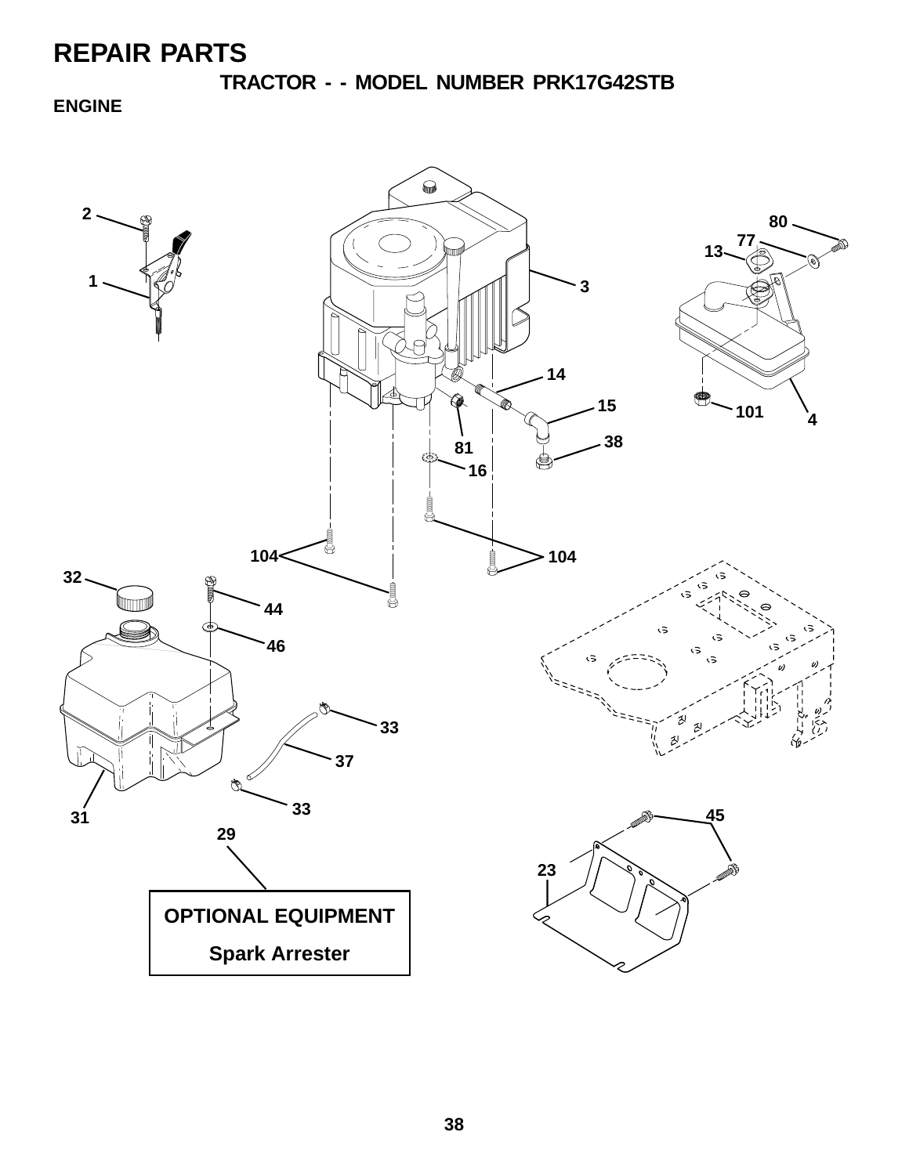**TRACTOR - - MODEL NUMBER PRK17G42STB**

**ENGINE**

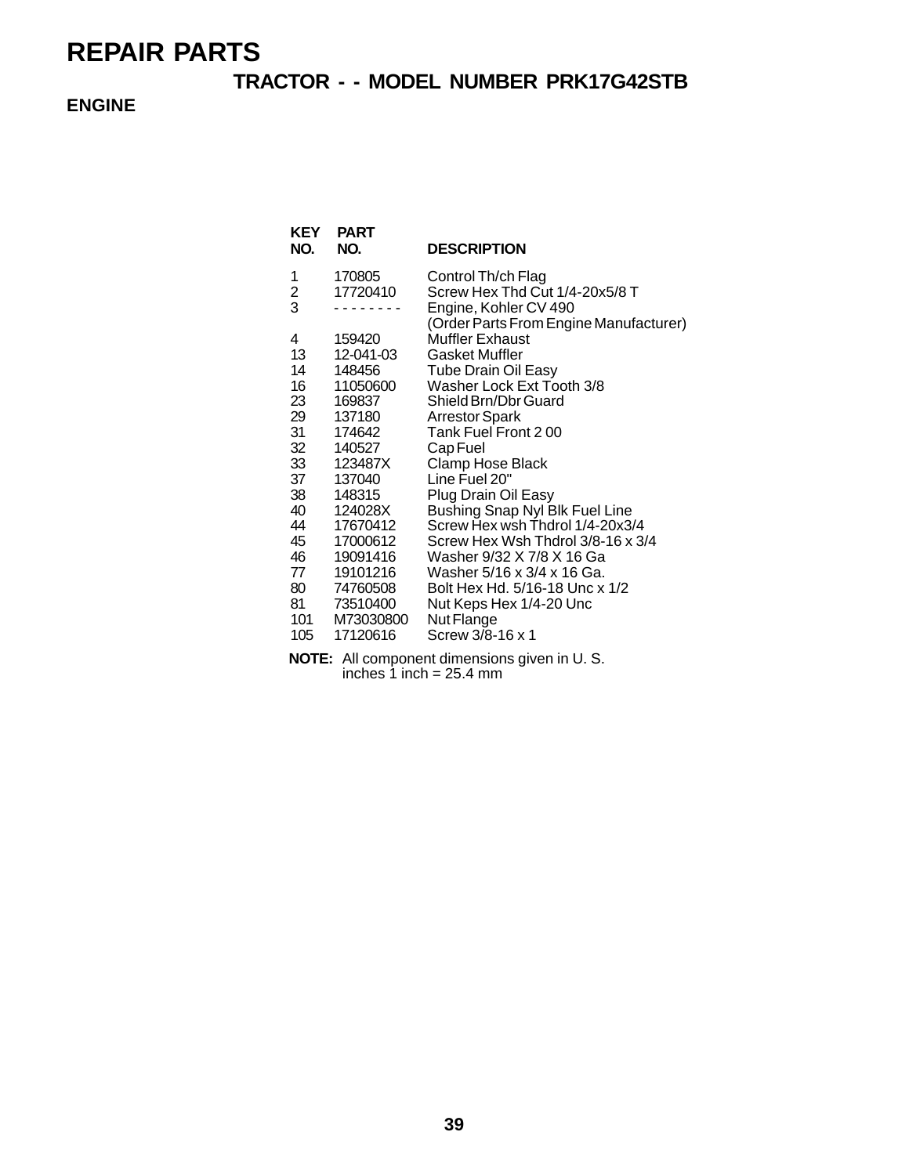### **TRACTOR - - MODEL NUMBER PRK17G42STB**

**ENGINE**

| KEY<br>NO. | <b>PART</b><br>NO.    | <b>DESCRIPTION</b>                                              |
|------------|-----------------------|-----------------------------------------------------------------|
| 1          | 170805                | Control Th/ch Flag                                              |
| 2<br>3     | 17720410              | Screw Hex Thd Cut 1/4-20x5/8 T                                  |
|            |                       | Engine, Kohler CV 490<br>(Order Parts From Engine Manufacturer) |
| 4          | 159420                | Muffler Exhaust                                                 |
| 13         | 12-041-03             | <b>Gasket Muffler</b>                                           |
| 14         | 148456                | <b>Tube Drain Oil Easy</b>                                      |
| 16         | 11050600              | Washer Lock Ext Tooth 3/8                                       |
| 23         | 169837                | Shield Brn/Dbr Guard                                            |
| 29         | 137180                | <b>Arrestor Spark</b>                                           |
| 31         | 174642                | Tank Fuel Front 200                                             |
| 32         | 140527                | Cap Fuel                                                        |
| 33<br>37   | 123487X<br>137040     | Clamp Hose Black<br>Line Fuel 20"                               |
| 38         | 148315                | Plug Drain Oil Easy                                             |
| 40         | 124028X               | Bushing Snap Nyl Blk Fuel Line                                  |
| 44         | 17670412              | Screw Hex wsh Thdrol 1/4-20x3/4                                 |
| 45         | 17000612              | Screw Hex Wsh Thdrol 3/8-16 x 3/4                               |
| 46         | 19091416              | Washer 9/32 X 7/8 X 16 Ga                                       |
| 77         | 19101216              | Washer 5/16 x 3/4 x 16 Ga.                                      |
| 80         | 74760508              | Bolt Hex Hd. 5/16-18 Unc x 1/2                                  |
| 81         | 73510400              | Nut Keps Hex 1/4-20 Unc                                         |
| 101<br>105 | M73030800<br>17120616 | Nut Flange<br>Screw 3/8-16 x 1                                  |
|            |                       |                                                                 |

**NOTE:** All component dimensions given in U. S. inches  $1$  inch = 25.4 mm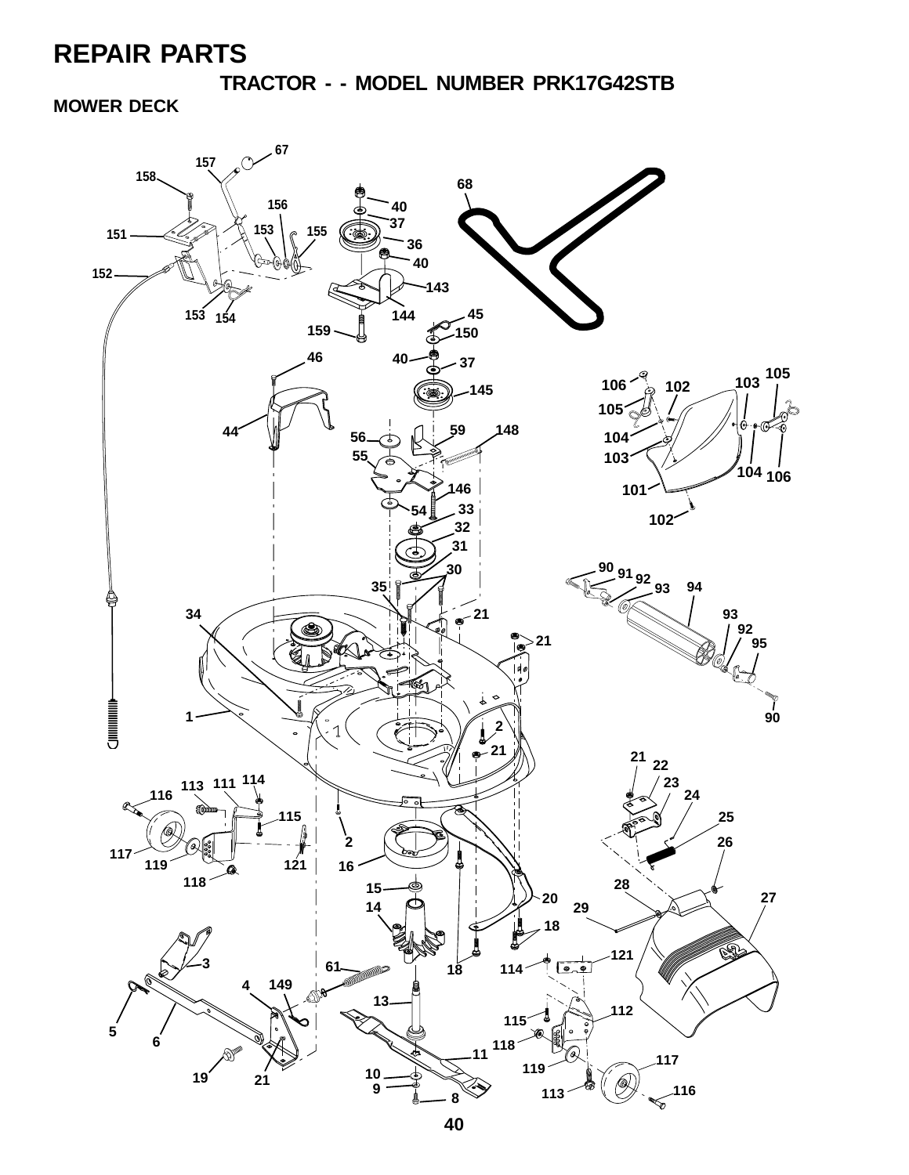**TRACTOR - - MODEL NUMBER PRK17G42STB**

**MOWER DECK**

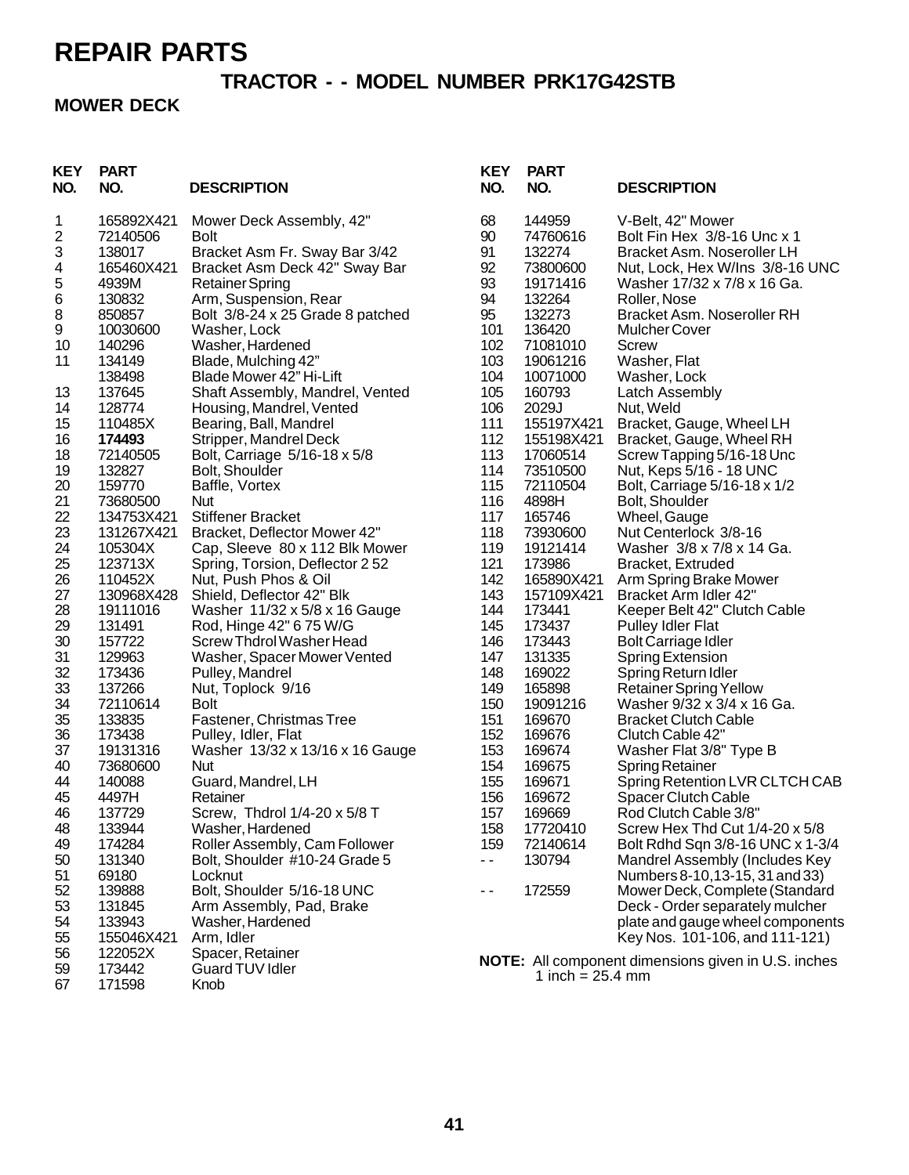### **TRACTOR - - MODEL NUMBER PRK17G42STB**

#### **MOWER DECK**

| <b>DESCRIPTION</b>                                                                                                                                                                                                                                                                                                                                                                                                                                                                                                                                                | NO.                                                                                                                                                                                                                                                                                                                                                                                                                                                                                                                                                                                                                                                                                                                                                                                                                                                                                                                                                                                                                                                                                                                                                                                                                                                        | NO.                                                                                                                                                                                                                                                                                  | <b>DESCRIPTION</b>                                                                                                                                                                                                                                                                                                                                                                                                                                                                                         |
|-------------------------------------------------------------------------------------------------------------------------------------------------------------------------------------------------------------------------------------------------------------------------------------------------------------------------------------------------------------------------------------------------------------------------------------------------------------------------------------------------------------------------------------------------------------------|------------------------------------------------------------------------------------------------------------------------------------------------------------------------------------------------------------------------------------------------------------------------------------------------------------------------------------------------------------------------------------------------------------------------------------------------------------------------------------------------------------------------------------------------------------------------------------------------------------------------------------------------------------------------------------------------------------------------------------------------------------------------------------------------------------------------------------------------------------------------------------------------------------------------------------------------------------------------------------------------------------------------------------------------------------------------------------------------------------------------------------------------------------------------------------------------------------------------------------------------------------|--------------------------------------------------------------------------------------------------------------------------------------------------------------------------------------------------------------------------------------------------------------------------------------|------------------------------------------------------------------------------------------------------------------------------------------------------------------------------------------------------------------------------------------------------------------------------------------------------------------------------------------------------------------------------------------------------------------------------------------------------------------------------------------------------------|
|                                                                                                                                                                                                                                                                                                                                                                                                                                                                                                                                                                   |                                                                                                                                                                                                                                                                                                                                                                                                                                                                                                                                                                                                                                                                                                                                                                                                                                                                                                                                                                                                                                                                                                                                                                                                                                                            |                                                                                                                                                                                                                                                                                      | V-Belt, 42" Mower                                                                                                                                                                                                                                                                                                                                                                                                                                                                                          |
|                                                                                                                                                                                                                                                                                                                                                                                                                                                                                                                                                                   |                                                                                                                                                                                                                                                                                                                                                                                                                                                                                                                                                                                                                                                                                                                                                                                                                                                                                                                                                                                                                                                                                                                                                                                                                                                            |                                                                                                                                                                                                                                                                                      | Bolt Fin Hex 3/8-16 Unc x 1                                                                                                                                                                                                                                                                                                                                                                                                                                                                                |
|                                                                                                                                                                                                                                                                                                                                                                                                                                                                                                                                                                   |                                                                                                                                                                                                                                                                                                                                                                                                                                                                                                                                                                                                                                                                                                                                                                                                                                                                                                                                                                                                                                                                                                                                                                                                                                                            |                                                                                                                                                                                                                                                                                      | Bracket Asm. Noseroller LH                                                                                                                                                                                                                                                                                                                                                                                                                                                                                 |
|                                                                                                                                                                                                                                                                                                                                                                                                                                                                                                                                                                   |                                                                                                                                                                                                                                                                                                                                                                                                                                                                                                                                                                                                                                                                                                                                                                                                                                                                                                                                                                                                                                                                                                                                                                                                                                                            |                                                                                                                                                                                                                                                                                      | Nut, Lock, Hex W/Ins 3/8-16 UNC                                                                                                                                                                                                                                                                                                                                                                                                                                                                            |
|                                                                                                                                                                                                                                                                                                                                                                                                                                                                                                                                                                   |                                                                                                                                                                                                                                                                                                                                                                                                                                                                                                                                                                                                                                                                                                                                                                                                                                                                                                                                                                                                                                                                                                                                                                                                                                                            |                                                                                                                                                                                                                                                                                      | Washer 17/32 x 7/8 x 16 Ga.                                                                                                                                                                                                                                                                                                                                                                                                                                                                                |
|                                                                                                                                                                                                                                                                                                                                                                                                                                                                                                                                                                   |                                                                                                                                                                                                                                                                                                                                                                                                                                                                                                                                                                                                                                                                                                                                                                                                                                                                                                                                                                                                                                                                                                                                                                                                                                                            |                                                                                                                                                                                                                                                                                      | Roller, Nose                                                                                                                                                                                                                                                                                                                                                                                                                                                                                               |
|                                                                                                                                                                                                                                                                                                                                                                                                                                                                                                                                                                   |                                                                                                                                                                                                                                                                                                                                                                                                                                                                                                                                                                                                                                                                                                                                                                                                                                                                                                                                                                                                                                                                                                                                                                                                                                                            |                                                                                                                                                                                                                                                                                      | Bracket Asm. Noseroller RH                                                                                                                                                                                                                                                                                                                                                                                                                                                                                 |
|                                                                                                                                                                                                                                                                                                                                                                                                                                                                                                                                                                   |                                                                                                                                                                                                                                                                                                                                                                                                                                                                                                                                                                                                                                                                                                                                                                                                                                                                                                                                                                                                                                                                                                                                                                                                                                                            |                                                                                                                                                                                                                                                                                      | Mulcher Cover                                                                                                                                                                                                                                                                                                                                                                                                                                                                                              |
|                                                                                                                                                                                                                                                                                                                                                                                                                                                                                                                                                                   |                                                                                                                                                                                                                                                                                                                                                                                                                                                                                                                                                                                                                                                                                                                                                                                                                                                                                                                                                                                                                                                                                                                                                                                                                                                            |                                                                                                                                                                                                                                                                                      | Screw                                                                                                                                                                                                                                                                                                                                                                                                                                                                                                      |
|                                                                                                                                                                                                                                                                                                                                                                                                                                                                                                                                                                   |                                                                                                                                                                                                                                                                                                                                                                                                                                                                                                                                                                                                                                                                                                                                                                                                                                                                                                                                                                                                                                                                                                                                                                                                                                                            |                                                                                                                                                                                                                                                                                      | Washer, Flat                                                                                                                                                                                                                                                                                                                                                                                                                                                                                               |
|                                                                                                                                                                                                                                                                                                                                                                                                                                                                                                                                                                   |                                                                                                                                                                                                                                                                                                                                                                                                                                                                                                                                                                                                                                                                                                                                                                                                                                                                                                                                                                                                                                                                                                                                                                                                                                                            |                                                                                                                                                                                                                                                                                      | Washer, Lock                                                                                                                                                                                                                                                                                                                                                                                                                                                                                               |
|                                                                                                                                                                                                                                                                                                                                                                                                                                                                                                                                                                   |                                                                                                                                                                                                                                                                                                                                                                                                                                                                                                                                                                                                                                                                                                                                                                                                                                                                                                                                                                                                                                                                                                                                                                                                                                                            |                                                                                                                                                                                                                                                                                      | <b>Latch Assembly</b>                                                                                                                                                                                                                                                                                                                                                                                                                                                                                      |
|                                                                                                                                                                                                                                                                                                                                                                                                                                                                                                                                                                   |                                                                                                                                                                                                                                                                                                                                                                                                                                                                                                                                                                                                                                                                                                                                                                                                                                                                                                                                                                                                                                                                                                                                                                                                                                                            |                                                                                                                                                                                                                                                                                      | Nut, Weld                                                                                                                                                                                                                                                                                                                                                                                                                                                                                                  |
|                                                                                                                                                                                                                                                                                                                                                                                                                                                                                                                                                                   |                                                                                                                                                                                                                                                                                                                                                                                                                                                                                                                                                                                                                                                                                                                                                                                                                                                                                                                                                                                                                                                                                                                                                                                                                                                            |                                                                                                                                                                                                                                                                                      | Bracket, Gauge, Wheel LH                                                                                                                                                                                                                                                                                                                                                                                                                                                                                   |
|                                                                                                                                                                                                                                                                                                                                                                                                                                                                                                                                                                   |                                                                                                                                                                                                                                                                                                                                                                                                                                                                                                                                                                                                                                                                                                                                                                                                                                                                                                                                                                                                                                                                                                                                                                                                                                                            |                                                                                                                                                                                                                                                                                      | Bracket, Gauge, Wheel RH                                                                                                                                                                                                                                                                                                                                                                                                                                                                                   |
|                                                                                                                                                                                                                                                                                                                                                                                                                                                                                                                                                                   |                                                                                                                                                                                                                                                                                                                                                                                                                                                                                                                                                                                                                                                                                                                                                                                                                                                                                                                                                                                                                                                                                                                                                                                                                                                            |                                                                                                                                                                                                                                                                                      | Screw Tapping 5/16-18 Unc                                                                                                                                                                                                                                                                                                                                                                                                                                                                                  |
|                                                                                                                                                                                                                                                                                                                                                                                                                                                                                                                                                                   |                                                                                                                                                                                                                                                                                                                                                                                                                                                                                                                                                                                                                                                                                                                                                                                                                                                                                                                                                                                                                                                                                                                                                                                                                                                            |                                                                                                                                                                                                                                                                                      | Nut, Keps 5/16 - 18 UNC                                                                                                                                                                                                                                                                                                                                                                                                                                                                                    |
|                                                                                                                                                                                                                                                                                                                                                                                                                                                                                                                                                                   |                                                                                                                                                                                                                                                                                                                                                                                                                                                                                                                                                                                                                                                                                                                                                                                                                                                                                                                                                                                                                                                                                                                                                                                                                                                            |                                                                                                                                                                                                                                                                                      | Bolt, Carriage 5/16-18 x 1/2                                                                                                                                                                                                                                                                                                                                                                                                                                                                               |
|                                                                                                                                                                                                                                                                                                                                                                                                                                                                                                                                                                   |                                                                                                                                                                                                                                                                                                                                                                                                                                                                                                                                                                                                                                                                                                                                                                                                                                                                                                                                                                                                                                                                                                                                                                                                                                                            |                                                                                                                                                                                                                                                                                      | Bolt, Shoulder                                                                                                                                                                                                                                                                                                                                                                                                                                                                                             |
|                                                                                                                                                                                                                                                                                                                                                                                                                                                                                                                                                                   |                                                                                                                                                                                                                                                                                                                                                                                                                                                                                                                                                                                                                                                                                                                                                                                                                                                                                                                                                                                                                                                                                                                                                                                                                                                            |                                                                                                                                                                                                                                                                                      | Wheel, Gauge                                                                                                                                                                                                                                                                                                                                                                                                                                                                                               |
|                                                                                                                                                                                                                                                                                                                                                                                                                                                                                                                                                                   |                                                                                                                                                                                                                                                                                                                                                                                                                                                                                                                                                                                                                                                                                                                                                                                                                                                                                                                                                                                                                                                                                                                                                                                                                                                            |                                                                                                                                                                                                                                                                                      | Nut Centerlock 3/8-16                                                                                                                                                                                                                                                                                                                                                                                                                                                                                      |
|                                                                                                                                                                                                                                                                                                                                                                                                                                                                                                                                                                   |                                                                                                                                                                                                                                                                                                                                                                                                                                                                                                                                                                                                                                                                                                                                                                                                                                                                                                                                                                                                                                                                                                                                                                                                                                                            |                                                                                                                                                                                                                                                                                      | Washer 3/8 x 7/8 x 14 Ga.                                                                                                                                                                                                                                                                                                                                                                                                                                                                                  |
|                                                                                                                                                                                                                                                                                                                                                                                                                                                                                                                                                                   |                                                                                                                                                                                                                                                                                                                                                                                                                                                                                                                                                                                                                                                                                                                                                                                                                                                                                                                                                                                                                                                                                                                                                                                                                                                            |                                                                                                                                                                                                                                                                                      | Bracket, Extruded                                                                                                                                                                                                                                                                                                                                                                                                                                                                                          |
|                                                                                                                                                                                                                                                                                                                                                                                                                                                                                                                                                                   |                                                                                                                                                                                                                                                                                                                                                                                                                                                                                                                                                                                                                                                                                                                                                                                                                                                                                                                                                                                                                                                                                                                                                                                                                                                            |                                                                                                                                                                                                                                                                                      | Arm Spring Brake Mower                                                                                                                                                                                                                                                                                                                                                                                                                                                                                     |
|                                                                                                                                                                                                                                                                                                                                                                                                                                                                                                                                                                   |                                                                                                                                                                                                                                                                                                                                                                                                                                                                                                                                                                                                                                                                                                                                                                                                                                                                                                                                                                                                                                                                                                                                                                                                                                                            |                                                                                                                                                                                                                                                                                      | Bracket Arm Idler 42"                                                                                                                                                                                                                                                                                                                                                                                                                                                                                      |
|                                                                                                                                                                                                                                                                                                                                                                                                                                                                                                                                                                   |                                                                                                                                                                                                                                                                                                                                                                                                                                                                                                                                                                                                                                                                                                                                                                                                                                                                                                                                                                                                                                                                                                                                                                                                                                                            |                                                                                                                                                                                                                                                                                      | Keeper Belt 42" Clutch Cable                                                                                                                                                                                                                                                                                                                                                                                                                                                                               |
|                                                                                                                                                                                                                                                                                                                                                                                                                                                                                                                                                                   |                                                                                                                                                                                                                                                                                                                                                                                                                                                                                                                                                                                                                                                                                                                                                                                                                                                                                                                                                                                                                                                                                                                                                                                                                                                            |                                                                                                                                                                                                                                                                                      | <b>Pulley Idler Flat</b>                                                                                                                                                                                                                                                                                                                                                                                                                                                                                   |
|                                                                                                                                                                                                                                                                                                                                                                                                                                                                                                                                                                   |                                                                                                                                                                                                                                                                                                                                                                                                                                                                                                                                                                                                                                                                                                                                                                                                                                                                                                                                                                                                                                                                                                                                                                                                                                                            |                                                                                                                                                                                                                                                                                      | <b>Bolt Carriage Idler</b>                                                                                                                                                                                                                                                                                                                                                                                                                                                                                 |
|                                                                                                                                                                                                                                                                                                                                                                                                                                                                                                                                                                   |                                                                                                                                                                                                                                                                                                                                                                                                                                                                                                                                                                                                                                                                                                                                                                                                                                                                                                                                                                                                                                                                                                                                                                                                                                                            |                                                                                                                                                                                                                                                                                      | <b>Spring Extension</b>                                                                                                                                                                                                                                                                                                                                                                                                                                                                                    |
|                                                                                                                                                                                                                                                                                                                                                                                                                                                                                                                                                                   |                                                                                                                                                                                                                                                                                                                                                                                                                                                                                                                                                                                                                                                                                                                                                                                                                                                                                                                                                                                                                                                                                                                                                                                                                                                            |                                                                                                                                                                                                                                                                                      | Spring Return Idler                                                                                                                                                                                                                                                                                                                                                                                                                                                                                        |
|                                                                                                                                                                                                                                                                                                                                                                                                                                                                                                                                                                   |                                                                                                                                                                                                                                                                                                                                                                                                                                                                                                                                                                                                                                                                                                                                                                                                                                                                                                                                                                                                                                                                                                                                                                                                                                                            |                                                                                                                                                                                                                                                                                      | <b>Retainer Spring Yellow</b>                                                                                                                                                                                                                                                                                                                                                                                                                                                                              |
|                                                                                                                                                                                                                                                                                                                                                                                                                                                                                                                                                                   |                                                                                                                                                                                                                                                                                                                                                                                                                                                                                                                                                                                                                                                                                                                                                                                                                                                                                                                                                                                                                                                                                                                                                                                                                                                            |                                                                                                                                                                                                                                                                                      | Washer 9/32 x 3/4 x 16 Ga.                                                                                                                                                                                                                                                                                                                                                                                                                                                                                 |
|                                                                                                                                                                                                                                                                                                                                                                                                                                                                                                                                                                   |                                                                                                                                                                                                                                                                                                                                                                                                                                                                                                                                                                                                                                                                                                                                                                                                                                                                                                                                                                                                                                                                                                                                                                                                                                                            |                                                                                                                                                                                                                                                                                      | <b>Bracket Clutch Cable</b>                                                                                                                                                                                                                                                                                                                                                                                                                                                                                |
|                                                                                                                                                                                                                                                                                                                                                                                                                                                                                                                                                                   |                                                                                                                                                                                                                                                                                                                                                                                                                                                                                                                                                                                                                                                                                                                                                                                                                                                                                                                                                                                                                                                                                                                                                                                                                                                            |                                                                                                                                                                                                                                                                                      | Clutch Cable 42"                                                                                                                                                                                                                                                                                                                                                                                                                                                                                           |
|                                                                                                                                                                                                                                                                                                                                                                                                                                                                                                                                                                   |                                                                                                                                                                                                                                                                                                                                                                                                                                                                                                                                                                                                                                                                                                                                                                                                                                                                                                                                                                                                                                                                                                                                                                                                                                                            |                                                                                                                                                                                                                                                                                      | Washer Flat 3/8" Type B                                                                                                                                                                                                                                                                                                                                                                                                                                                                                    |
|                                                                                                                                                                                                                                                                                                                                                                                                                                                                                                                                                                   |                                                                                                                                                                                                                                                                                                                                                                                                                                                                                                                                                                                                                                                                                                                                                                                                                                                                                                                                                                                                                                                                                                                                                                                                                                                            |                                                                                                                                                                                                                                                                                      | Spring Retainer                                                                                                                                                                                                                                                                                                                                                                                                                                                                                            |
|                                                                                                                                                                                                                                                                                                                                                                                                                                                                                                                                                                   |                                                                                                                                                                                                                                                                                                                                                                                                                                                                                                                                                                                                                                                                                                                                                                                                                                                                                                                                                                                                                                                                                                                                                                                                                                                            |                                                                                                                                                                                                                                                                                      | Spring Retention LVR CLTCH CAB                                                                                                                                                                                                                                                                                                                                                                                                                                                                             |
|                                                                                                                                                                                                                                                                                                                                                                                                                                                                                                                                                                   |                                                                                                                                                                                                                                                                                                                                                                                                                                                                                                                                                                                                                                                                                                                                                                                                                                                                                                                                                                                                                                                                                                                                                                                                                                                            |                                                                                                                                                                                                                                                                                      | Spacer Clutch Cable                                                                                                                                                                                                                                                                                                                                                                                                                                                                                        |
|                                                                                                                                                                                                                                                                                                                                                                                                                                                                                                                                                                   |                                                                                                                                                                                                                                                                                                                                                                                                                                                                                                                                                                                                                                                                                                                                                                                                                                                                                                                                                                                                                                                                                                                                                                                                                                                            |                                                                                                                                                                                                                                                                                      | Rod Clutch Cable 3/8"                                                                                                                                                                                                                                                                                                                                                                                                                                                                                      |
|                                                                                                                                                                                                                                                                                                                                                                                                                                                                                                                                                                   |                                                                                                                                                                                                                                                                                                                                                                                                                                                                                                                                                                                                                                                                                                                                                                                                                                                                                                                                                                                                                                                                                                                                                                                                                                                            |                                                                                                                                                                                                                                                                                      | Screw Hex Thd Cut 1/4-20 x 5/8                                                                                                                                                                                                                                                                                                                                                                                                                                                                             |
|                                                                                                                                                                                                                                                                                                                                                                                                                                                                                                                                                                   |                                                                                                                                                                                                                                                                                                                                                                                                                                                                                                                                                                                                                                                                                                                                                                                                                                                                                                                                                                                                                                                                                                                                                                                                                                                            |                                                                                                                                                                                                                                                                                      | Bolt Rdhd Sqn 3/8-16 UNC x 1-3/4                                                                                                                                                                                                                                                                                                                                                                                                                                                                           |
|                                                                                                                                                                                                                                                                                                                                                                                                                                                                                                                                                                   | $ -$                                                                                                                                                                                                                                                                                                                                                                                                                                                                                                                                                                                                                                                                                                                                                                                                                                                                                                                                                                                                                                                                                                                                                                                                                                                       |                                                                                                                                                                                                                                                                                      | Mandrel Assembly (Includes Key                                                                                                                                                                                                                                                                                                                                                                                                                                                                             |
|                                                                                                                                                                                                                                                                                                                                                                                                                                                                                                                                                                   |                                                                                                                                                                                                                                                                                                                                                                                                                                                                                                                                                                                                                                                                                                                                                                                                                                                                                                                                                                                                                                                                                                                                                                                                                                                            |                                                                                                                                                                                                                                                                                      | Numbers 8-10, 13-15, 31 and 33)                                                                                                                                                                                                                                                                                                                                                                                                                                                                            |
|                                                                                                                                                                                                                                                                                                                                                                                                                                                                                                                                                                   | - -                                                                                                                                                                                                                                                                                                                                                                                                                                                                                                                                                                                                                                                                                                                                                                                                                                                                                                                                                                                                                                                                                                                                                                                                                                                        |                                                                                                                                                                                                                                                                                      | Mower Deck, Complete (Standard                                                                                                                                                                                                                                                                                                                                                                                                                                                                             |
|                                                                                                                                                                                                                                                                                                                                                                                                                                                                                                                                                                   |                                                                                                                                                                                                                                                                                                                                                                                                                                                                                                                                                                                                                                                                                                                                                                                                                                                                                                                                                                                                                                                                                                                                                                                                                                                            |                                                                                                                                                                                                                                                                                      | Deck - Order separately mulcher                                                                                                                                                                                                                                                                                                                                                                                                                                                                            |
|                                                                                                                                                                                                                                                                                                                                                                                                                                                                                                                                                                   |                                                                                                                                                                                                                                                                                                                                                                                                                                                                                                                                                                                                                                                                                                                                                                                                                                                                                                                                                                                                                                                                                                                                                                                                                                                            |                                                                                                                                                                                                                                                                                      | plate and gauge wheel components                                                                                                                                                                                                                                                                                                                                                                                                                                                                           |
|                                                                                                                                                                                                                                                                                                                                                                                                                                                                                                                                                                   |                                                                                                                                                                                                                                                                                                                                                                                                                                                                                                                                                                                                                                                                                                                                                                                                                                                                                                                                                                                                                                                                                                                                                                                                                                                            |                                                                                                                                                                                                                                                                                      | Key Nos. 101-106, and 111-121)                                                                                                                                                                                                                                                                                                                                                                                                                                                                             |
|                                                                                                                                                                                                                                                                                                                                                                                                                                                                                                                                                                   |                                                                                                                                                                                                                                                                                                                                                                                                                                                                                                                                                                                                                                                                                                                                                                                                                                                                                                                                                                                                                                                                                                                                                                                                                                                            |                                                                                                                                                                                                                                                                                      |                                                                                                                                                                                                                                                                                                                                                                                                                                                                                                            |
|                                                                                                                                                                                                                                                                                                                                                                                                                                                                                                                                                                   |                                                                                                                                                                                                                                                                                                                                                                                                                                                                                                                                                                                                                                                                                                                                                                                                                                                                                                                                                                                                                                                                                                                                                                                                                                                            |                                                                                                                                                                                                                                                                                      | <b>NOTE:</b> All component dimensions given in U.S. inches                                                                                                                                                                                                                                                                                                                                                                                                                                                 |
| Knob                                                                                                                                                                                                                                                                                                                                                                                                                                                                                                                                                              |                                                                                                                                                                                                                                                                                                                                                                                                                                                                                                                                                                                                                                                                                                                                                                                                                                                                                                                                                                                                                                                                                                                                                                                                                                                            |                                                                                                                                                                                                                                                                                      |                                                                                                                                                                                                                                                                                                                                                                                                                                                                                                            |
| NO.<br>165892X421<br>72140506<br>138017<br>165460X421<br>4939M<br>130832<br>850857<br>10030600<br>140296<br>134149<br>138498<br>137645<br>128774<br>110485X<br>174493<br>72140505<br>132827<br>159770<br>73680500<br>134753X421<br>131267X421<br>105304X<br>123713X<br>110452X<br>130968X428<br>19111016<br>131491<br>157722<br>129963<br>173436<br>137266<br>72110614<br>133835<br>173438<br>19131316<br>73680600<br>140088<br>4497H<br>137729<br>133944<br>174284<br>131340<br>69180<br>139888<br>131845<br>133943<br>155046X421<br>122052X<br>173442<br>171598 | Mower Deck Assembly, 42"<br><b>Bolt</b><br>Bracket Asm Fr. Sway Bar 3/42<br>Bracket Asm Deck 42" Sway Bar<br><b>Retainer Spring</b><br>Arm, Suspension, Rear<br>Bolt 3/8-24 x 25 Grade 8 patched<br>Washer, Lock<br>Washer, Hardened<br>Blade, Mulching 42"<br>Blade Mower 42" Hi-Lift<br>Shaft Assembly, Mandrel, Vented<br>Housing, Mandrel, Vented<br>Bearing, Ball, Mandrel<br>Stripper, Mandrel Deck<br>Bolt, Carriage 5/16-18 x 5/8<br>Bolt, Shoulder<br>Baffle, Vortex<br>Nut<br><b>Stiffener Bracket</b><br>Bracket, Deflector Mower 42"<br>Cap, Sleeve 80 x 112 Blk Mower<br>Spring, Torsion, Deflector 252<br>Nut, Push Phos & Oil<br>Shield, Deflector 42" Blk<br>Washer 11/32 x 5/8 x 16 Gauge<br>Rod, Hinge 42" 6 75 W/G<br>Screw Thdrol Washer Head<br>Washer, Spacer Mower Vented<br>Pulley, Mandrel<br>Nut, Toplock 9/16<br><b>Bolt</b><br>Fastener, Christmas Tree<br>Pulley, Idler, Flat<br>Washer 13/32 x 13/16 x 16 Gauge<br>Nut<br>Guard, Mandrel, LH<br>Retainer<br>Screw, Thdrol 1/4-20 x 5/8 T<br>Washer, Hardened<br>Roller Assembly, Cam Follower<br>Bolt, Shoulder #10-24 Grade 5<br>Locknut<br>Bolt, Shoulder 5/16-18 UNC<br>Arm Assembly, Pad, Brake<br>Washer, Hardened<br>Arm, Idler<br>Spacer, Retainer<br>Guard TUV Idler | 68<br>90<br>91<br>92<br>93<br>94<br>95<br>101<br>102<br>103<br>104<br>105<br>106<br>111<br>112<br>113<br>114<br>115<br>116<br>117<br>118<br>119<br>121<br>142<br>143<br>144<br>145<br>146<br>147<br>148<br>149<br>150<br>151<br>152<br>153<br>154<br>155<br>156<br>157<br>158<br>159 | 144959<br>74760616<br>132274<br>73800600<br>19171416<br>132264<br>132273<br>136420<br>71081010<br>19061216<br>10071000<br>160793<br>2029J<br>155197X421<br>155198X421<br>17060514<br>73510500<br>72110504<br>4898H<br>165746<br>73930600<br>19121414<br>173986<br>165890X421<br>157109X421<br>173441<br>173437<br>173443<br>131335<br>169022<br>165898<br>19091216<br>169670<br>169676<br>169674<br>169675<br>169671<br>169672<br>169669<br>17720410<br>72140614<br>130794<br>172559<br>1 inch = $25.4$ mm |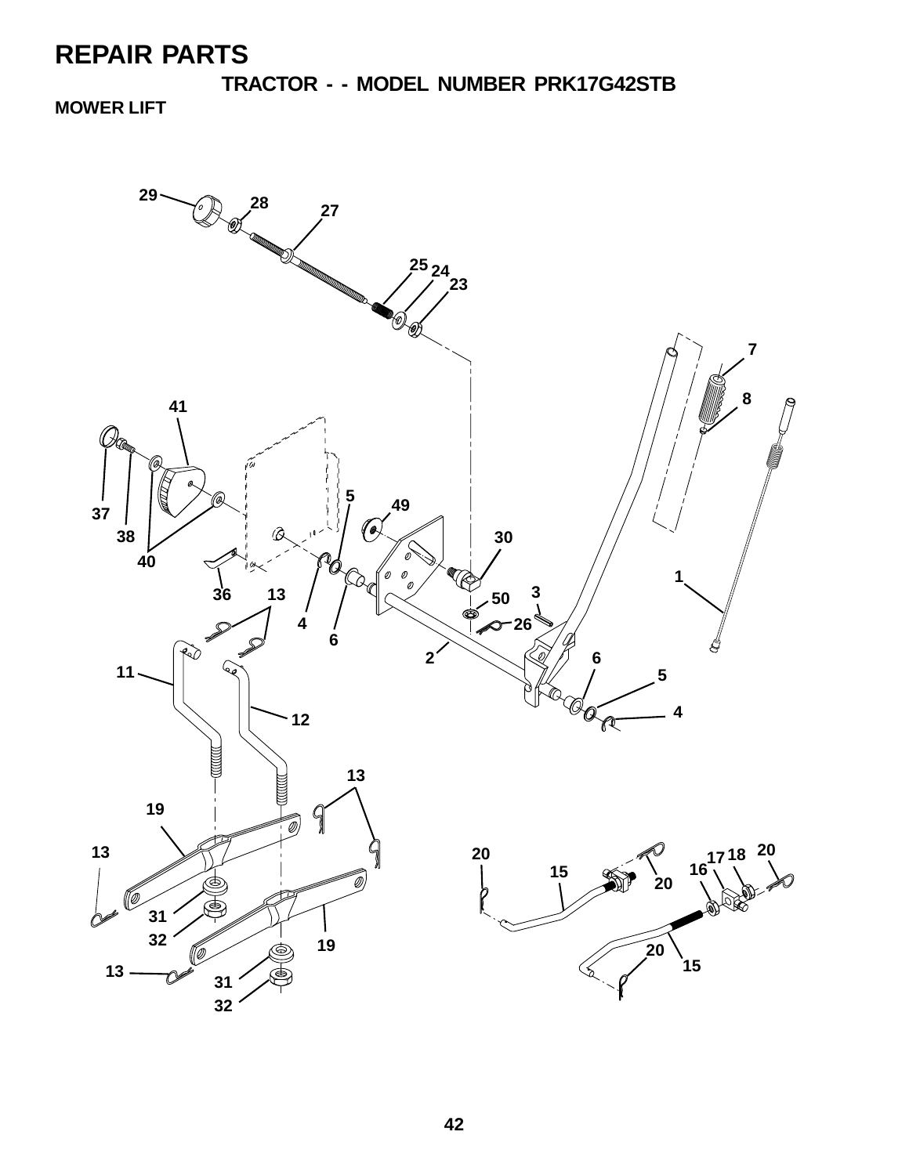**TRACTOR - - MODEL NUMBER PRK17G42STB MOWER LIFT**